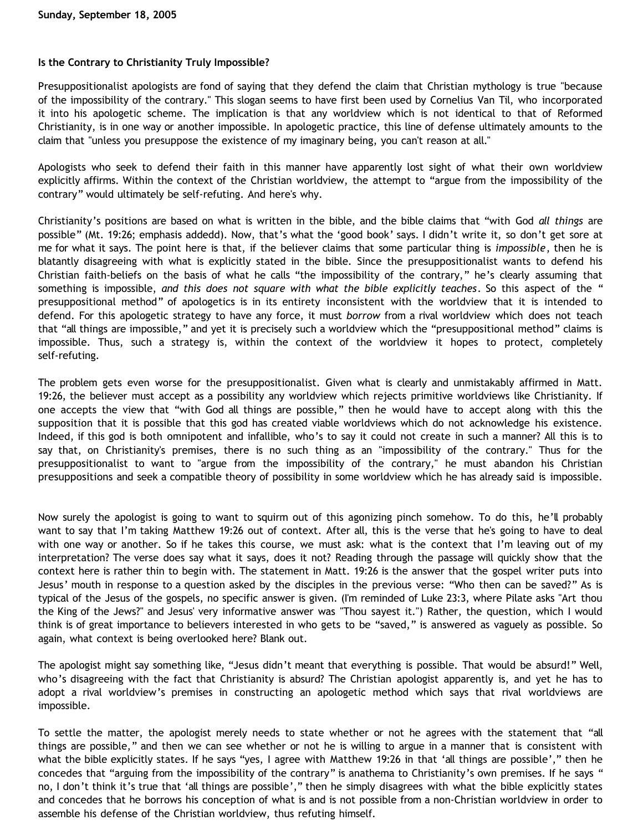## **Is the Contrary to Christianity Truly Impossible?**

Presuppositionalist apologists are fond of saying that they defend the claim that Christian mythology is true "because of the impossibility of the contrary." This slogan seems to have first been used by Cornelius Van Til, who incorporated it into his apologetic scheme. The implication is that any worldview which is not identical to that of Reformed Christianity, is in one way or another impossible. In apologetic practice, this line of defense ultimately amounts to the claim that "unless you presuppose the existence of my imaginary being, you can't reason at all."

Apologists who seek to defend their faith in this manner have apparently lost sight of what their own worldview explicitly affirms. Within the context of the Christian worldview, the attempt to "argue from the impossibility of the contrary" would ultimately be self-refuting. And here's why.

Christianity's positions are based on what is written in the bible, and the bible claims that "with God *all things* are possible" (Mt. 19:26; emphasis addedd). Now, that's what the 'good book' says. I didn't write it, so don't get sore at me for what it says. The point here is that, if the believer claims that some particular thing is *impossible*, then he is blatantly disagreeing with what is explicitly stated in the bible. Since the presuppositionalist wants to defend his Christian faith-beliefs on the basis of what he calls "the impossibility of the contrary," he's clearly assuming that something is impossible, *and this does not square with what the bible explicitly teaches*. So this aspect of the " presuppositional method" of apologetics is in its entirety inconsistent with the worldview that it is intended to defend. For this apologetic strategy to have any force, it must *borrow* from a rival worldview which does not teach that "all things are impossible," and yet it is precisely such a worldview which the "presuppositional method" claims is impossible. Thus, such a strategy is, within the context of the worldview it hopes to protect, completely self-refuting.

The problem gets even worse for the presuppositionalist. Given what is clearly and unmistakably affirmed in Matt. 19:26, the believer must accept as a possibility any worldview which rejects primitive worldviews like Christianity. If one accepts the view that "with God all things are possible," then he would have to accept along with this the supposition that it is possible that this god has created viable worldviews which do not acknowledge his existence. Indeed, if this god is both omnipotent and infallible, who's to say it could not create in such a manner? All this is to say that, on Christianity's premises, there is no such thing as an "impossibility of the contrary." Thus for the presuppositionalist to want to "argue from the impossibility of the contrary," he must abandon his Christian presuppositions and seek a compatible theory of possibility in some worldview which he has already said is impossible.

Now surely the apologist is going to want to squirm out of this agonizing pinch somehow. To do this, he'll probably want to say that I'm taking Matthew 19:26 out of context. After all, this is the verse that he's going to have to deal with one way or another. So if he takes this course, we must ask: what is the context that I'm leaving out of my interpretation? The verse does say what it says, does it not? Reading through the passage will quickly show that the context here is rather thin to begin with. The statement in Matt. 19:26 is the answer that the gospel writer puts into Jesus' mouth in response to a question asked by the disciples in the previous verse: "Who then can be saved?" As is typical of the Jesus of the gospels, no specific answer is given. (I'm reminded of Luke 23:3, where Pilate asks "Art thou the King of the Jews?" and Jesus' very informative answer was "Thou sayest it.") Rather, the question, which I would think is of great importance to believers interested in who gets to be "saved," is answered as vaguely as possible. So again, what context is being overlooked here? Blank out.

The apologist might say something like, "Jesus didn't meant that everything is possible. That would be absurd!" Well, who's disagreeing with the fact that Christianity is absurd? The Christian apologist apparently is, and yet he has to adopt a rival worldview's premises in constructing an apologetic method which says that rival worldviews are impossible.

To settle the matter, the apologist merely needs to state whether or not he agrees with the statement that "all things are possible," and then we can see whether or not he is willing to argue in a manner that is consistent with what the bible explicitly states. If he says "yes, I agree with Matthew 19:26 in that 'all things are possible'," then he concedes that "arguing from the impossibility of the contrary" is anathema to Christianity's own premises. If he says " no, I don't think it's true that 'all things are possible'," then he simply disagrees with what the bible explicitly states and concedes that he borrows his conception of what is and is not possible from a non-Christian worldview in order to assemble his defense of the Christian worldview, thus refuting himself.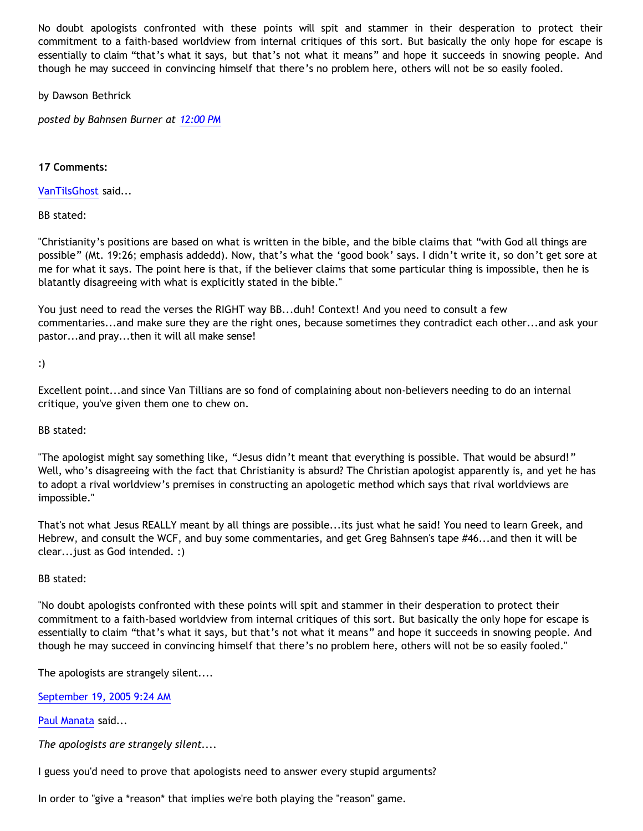No doubt apologists confronted with these points will spit and stammer in their desperation to protect their commitment to a faith-based worldview from internal critiques of this sort. But basically the only hope for escape is essentially to claim "that's what it says, but that's not what it means" and hope it succeeds in snowing people. And though he may succeed in convincing himself that there's no problem here, others will not be so easily fooled.

by Dawson Bethrick

*posted by Bahnsen Burner at [12:00 PM](http://bahnsenburner.blogspot.com/2005/09/is-contrary-to-christianity-truly.html)*

## **17 Comments:**

[VanTilsGhost](http://www.blogger.com/profile/9496584) said...

BB stated:

"Christianity's positions are based on what is written in the bible, and the bible claims that "with God all things are possible" (Mt. 19:26; emphasis addedd). Now, that's what the 'good book' says. I didn't write it, so don't get sore at me for what it says. The point here is that, if the believer claims that some particular thing is impossible, then he is blatantly disagreeing with what is explicitly stated in the bible."

You just need to read the verses the RIGHT way BB...duh! Context! And you need to consult a few commentaries...and make sure they are the right ones, because sometimes they contradict each other...and ask your pastor...and pray...then it will all make sense!

:)

Excellent point...and since Van Tillians are so fond of complaining about non-believers needing to do an internal critique, you've given them one to chew on.

## BB stated:

"The apologist might say something like, "Jesus didn't meant that everything is possible. That would be absurd!" Well, who's disagreeing with the fact that Christianity is absurd? The Christian apologist apparently is, and yet he has to adopt a rival worldview's premises in constructing an apologetic method which says that rival worldviews are impossible."

That's not what Jesus REALLY meant by all things are possible...its just what he said! You need to learn Greek, and Hebrew, and consult the WCF, and buy some commentaries, and get Greg Bahnsen's tape #46...and then it will be clear...just as God intended. :)

# BB stated:

"No doubt apologists confronted with these points will spit and stammer in their desperation to protect their commitment to a faith-based worldview from internal critiques of this sort. But basically the only hope for escape is essentially to claim "that's what it says, but that's not what it means" and hope it succeeds in snowing people. And though he may succeed in convincing himself that there's no problem here, others will not be so easily fooled."

The apologists are strangely silent....

[September 19, 2005 9:24 AM](http://bahnsenburner.blogspot.com/2005/09/112714704415106607)

[Paul Manata](http://www.blogger.com/profile/7464842) said...

*The apologists are strangely silent....*

I guess you'd need to prove that apologists need to answer every stupid arguments?

In order to "give a \*reason\* that implies we're both playing the "reason" game.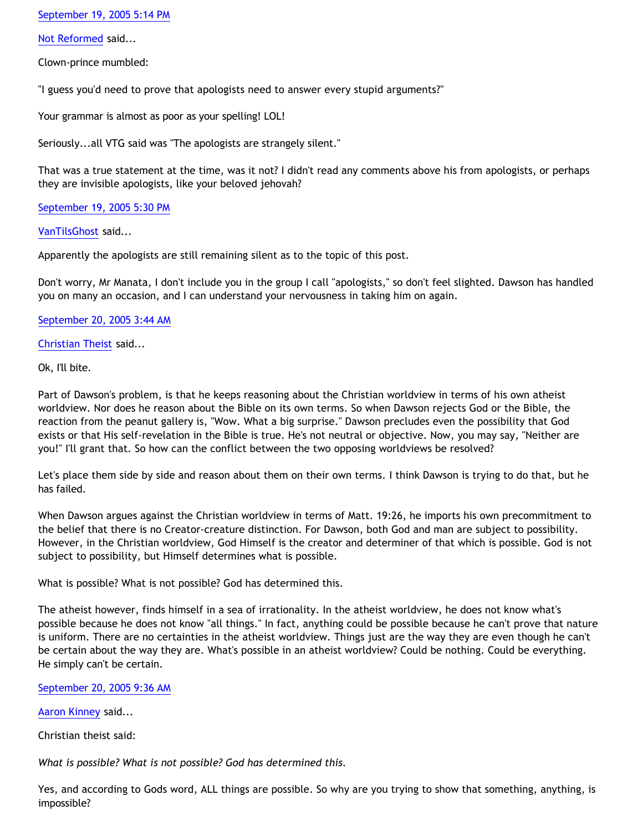[September 19, 2005 5:14 PM](http://bahnsenburner.blogspot.com/2005/09/112717528660838336)

[Not Reformed](http://www.blogger.com/profile/8159639) said...

Clown-prince mumbled:

"I guess you'd need to prove that apologists need to answer every stupid arguments?"

Your grammar is almost as poor as your spelling! LOL!

Seriously...all VTG said was "The apologists are strangely silent."

That was a true statement at the time, was it not? I didn't read any comments above his from apologists, or perhaps they are invisible apologists, like your beloved jehovah?

[September 19, 2005 5:30 PM](http://bahnsenburner.blogspot.com/2005/09/112717621674731374)

[VanTilsGhost](http://www.blogger.com/profile/9496584) said...

Apparently the apologists are still remaining silent as to the topic of this post.

Don't worry, Mr Manata, I don't include you in the group I call "apologists," so don't feel slighted. Dawson has handled you on many an occasion, and I can understand your nervousness in taking him on again.

[September 20, 2005 3:44 AM](http://bahnsenburner.blogspot.com/2005/09/112721307437275347)

[Christian Theist](http://www.blogger.com/profile/13040841) said...

Ok, I'll bite.

Part of Dawson's problem, is that he keeps reasoning about the Christian worldview in terms of his own atheist worldview. Nor does he reason about the Bible on its own terms. So when Dawson rejects God or the Bible, the reaction from the peanut gallery is, "Wow. What a big surprise." Dawson precludes even the possibility that God exists or that His self-revelation in the Bible is true. He's not neutral or objective. Now, you may say, "Neither are you!" I'll grant that. So how can the conflict between the two opposing worldviews be resolved?

Let's place them side by side and reason about them on their own terms. I think Dawson is trying to do that, but he has failed.

When Dawson argues against the Christian worldview in terms of Matt. 19:26, he imports his own precommitment to the belief that there is no Creator-creature distinction. For Dawson, both God and man are subject to possibility. However, in the Christian worldview, God Himself is the creator and determiner of that which is possible. God is not subject to possibility, but Himself determines what is possible.

What is possible? What is not possible? God has determined this.

The atheist however, finds himself in a sea of irrationality. In the atheist worldview, he does not know what's possible because he does not know "all things." In fact, anything could be possible because he can't prove that nature is uniform. There are no certainties in the atheist worldview. Things just are the way they are even though he can't be certain about the way they are. What's possible in an atheist worldview? Could be nothing. Could be everything. He simply can't be certain.

#### [September 20, 2005 9:36 AM](http://bahnsenburner.blogspot.com/2005/09/112723417227985210)

[Aaron Kinney](http://www.blogger.com/profile/8138664) said...

Christian theist said:

*What is possible? What is not possible? God has determined this.*

Yes, and according to Gods word, ALL things are possible. So why are you trying to show that something, anything, is impossible?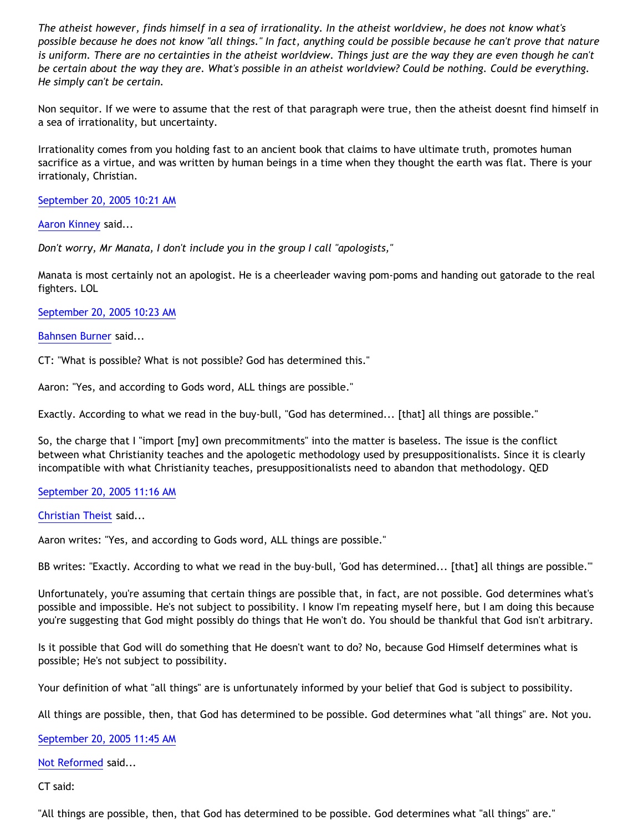*The atheist however, finds himself in a sea of irrationality. In the atheist worldview, he does not know what's possible because he does not know "all things." In fact, anything could be possible because he can't prove that nature is uniform. There are no certainties in the atheist worldview. Things just are the way they are even though he can't be certain about the way they are. What's possible in an atheist worldview? Could be nothing. Could be everything. He simply can't be certain.*

Non sequitor. If we were to assume that the rest of that paragraph were true, then the atheist doesnt find himself in a sea of irrationality, but uncertainty.

Irrationality comes from you holding fast to an ancient book that claims to have ultimate truth, promotes human sacrifice as a virtue, and was written by human beings in a time when they thought the earth was flat. There is your irrationaly, Christian.

[September 20, 2005 10:21 AM](http://bahnsenburner.blogspot.com/2005/09/112723690213156088)

[Aaron Kinney](http://www.blogger.com/profile/8138664) said...

*Don't worry, Mr Manata, I don't include you in the group I call "apologists,"* 

Manata is most certainly not an apologist. He is a cheerleader waving pom-poms and handing out gatorade to the real fighters. LOL

[September 20, 2005 10:23 AM](http://bahnsenburner.blogspot.com/2005/09/112723699116374211)

[Bahnsen Burner](http://www.blogger.com/profile/7766918) said...

CT: "What is possible? What is not possible? God has determined this."

Aaron: "Yes, and according to Gods word, ALL things are possible."

Exactly. According to what we read in the buy-bull, "God has determined... [that] all things are possible."

So, the charge that I "import [my] own precommitments" into the matter is baseless. The issue is the conflict between what Christianity teaches and the apologetic methodology used by presuppositionalists. Since it is clearly incompatible with what Christianity teaches, presuppositionalists need to abandon that methodology. QED

#### [September 20, 2005 11:16 AM](http://bahnsenburner.blogspot.com/2005/09/112724017008230460)

[Christian Theist](http://www.blogger.com/profile/13040841) said...

Aaron writes: "Yes, and according to Gods word, ALL things are possible."

BB writes: "Exactly. According to what we read in the buy-bull, 'God has determined... [that] all things are possible.'"

Unfortunately, you're assuming that certain things are possible that, in fact, are not possible. God determines what's possible and impossible. He's not subject to possibility. I know I'm repeating myself here, but I am doing this because you're suggesting that God might possibly do things that He won't do. You should be thankful that God isn't arbitrary.

Is it possible that God will do something that He doesn't want to do? No, because God Himself determines what is possible; He's not subject to possibility.

Your definition of what "all things" are is unfortunately informed by your belief that God is subject to possibility.

All things are possible, then, that God has determined to be possible. God determines what "all things" are. Not you.

[September 20, 2005 11:45 AM](http://bahnsenburner.blogspot.com/2005/09/112724193996302470)

[Not Reformed](http://www.blogger.com/profile/8159639) said...

CT said:

"All things are possible, then, that God has determined to be possible. God determines what "all things" are."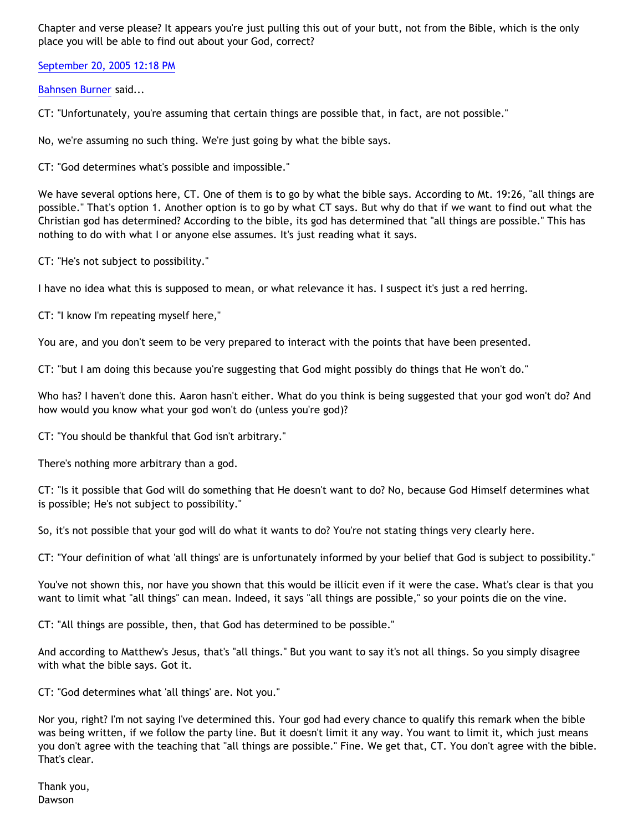Chapter and verse please? It appears you're just pulling this out of your butt, not from the Bible, which is the only place you will be able to find out about your God, correct?

[September 20, 2005 12:18 PM](http://bahnsenburner.blogspot.com/2005/09/112724391536204014)

[Bahnsen Burner](http://www.blogger.com/profile/7766918) said...

CT: "Unfortunately, you're assuming that certain things are possible that, in fact, are not possible."

No, we're assuming no such thing. We're just going by what the bible says.

CT: "God determines what's possible and impossible."

We have several options here, CT. One of them is to go by what the bible says. According to Mt. 19:26, "all things are possible." That's option 1. Another option is to go by what CT says. But why do that if we want to find out what the Christian god has determined? According to the bible, its god has determined that "all things are possible." This has nothing to do with what I or anyone else assumes. It's just reading what it says.

CT: "He's not subject to possibility."

I have no idea what this is supposed to mean, or what relevance it has. I suspect it's just a red herring.

CT: "I know I'm repeating myself here,"

You are, and you don't seem to be very prepared to interact with the points that have been presented.

CT: "but I am doing this because you're suggesting that God might possibly do things that He won't do."

Who has? I haven't done this. Aaron hasn't either. What do you think is being suggested that your god won't do? And how would you know what your god won't do (unless you're god)?

CT: "You should be thankful that God isn't arbitrary."

There's nothing more arbitrary than a god.

CT: "Is it possible that God will do something that He doesn't want to do? No, because God Himself determines what is possible; He's not subject to possibility."

So, it's not possible that your god will do what it wants to do? You're not stating things very clearly here.

CT: "Your definition of what 'all things' are is unfortunately informed by your belief that God is subject to possibility."

You've not shown this, nor have you shown that this would be illicit even if it were the case. What's clear is that you want to limit what "all things" can mean. Indeed, it says "all things are possible," so your points die on the vine.

CT: "All things are possible, then, that God has determined to be possible."

And according to Matthew's Jesus, that's "all things." But you want to say it's not all things. So you simply disagree with what the bible says. Got it.

CT: "God determines what 'all things' are. Not you."

Nor you, right? I'm not saying I've determined this. Your god had every chance to qualify this remark when the bible was being written, if we follow the party line. But it doesn't limit it any way. You want to limit it, which just means you don't agree with the teaching that "all things are possible." Fine. We get that, CT. You don't agree with the bible. That's clear.

Thank you, Dawson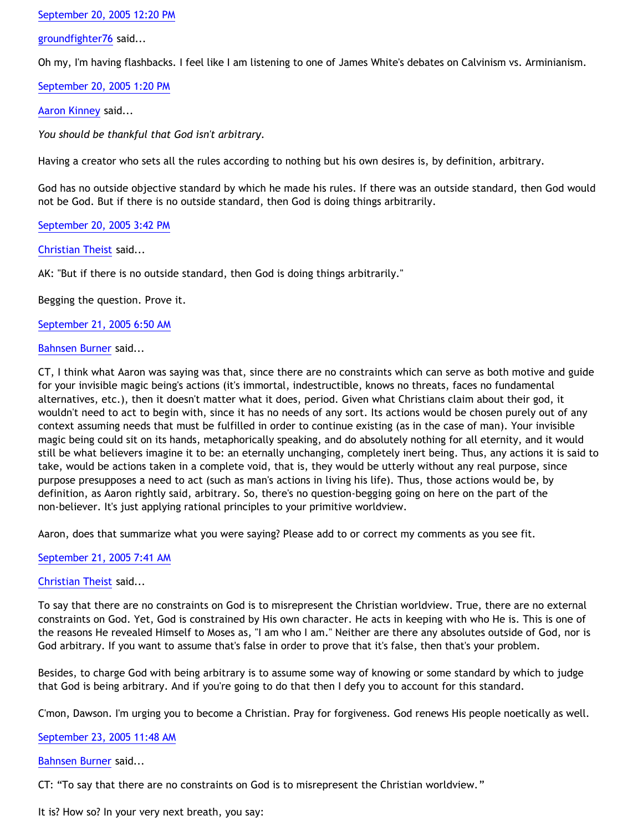## [September 20, 2005 12:20 PM](http://bahnsenburner.blogspot.com/2005/09/112724401285053942)

[groundfighter76](http://www.blogger.com/profile/8210797) said...

Oh my, I'm having flashbacks. I feel like I am listening to one of James White's debates on Calvinism vs. Arminianism.

[September 20, 2005 1:20 PM](http://bahnsenburner.blogspot.com/2005/09/112724765114176101)

[Aaron Kinney](http://www.blogger.com/profile/8138664) said...

*You should be thankful that God isn't arbitrary.*

Having a creator who sets all the rules according to nothing but his own desires is, by definition, arbitrary.

God has no outside objective standard by which he made his rules. If there was an outside standard, then God would not be God. But if there is no outside standard, then God is doing things arbitrarily.

[September 20, 2005 3:42 PM](http://bahnsenburner.blogspot.com/2005/09/112725612744216004)

[Christian Theist](http://www.blogger.com/profile/13040841) said...

AK: "But if there is no outside standard, then God is doing things arbitrarily."

Begging the question. Prove it.

[September 21, 2005 6:50 AM](http://bahnsenburner.blogspot.com/2005/09/112731061959729582)

[Bahnsen Burner](http://www.blogger.com/profile/7766918) said...

CT, I think what Aaron was saying was that, since there are no constraints which can serve as both motive and guide for your invisible magic being's actions (it's immortal, indestructible, knows no threats, faces no fundamental alternatives, etc.), then it doesn't matter what it does, period. Given what Christians claim about their god, it wouldn't need to act to begin with, since it has no needs of any sort. Its actions would be chosen purely out of any context assuming needs that must be fulfilled in order to continue existing (as in the case of man). Your invisible magic being could sit on its hands, metaphorically speaking, and do absolutely nothing for all eternity, and it would still be what believers imagine it to be: an eternally unchanging, completely inert being. Thus, any actions it is said to take, would be actions taken in a complete void, that is, they would be utterly without any real purpose, since purpose presupposes a need to act (such as man's actions in living his life). Thus, those actions would be, by definition, as Aaron rightly said, arbitrary. So, there's no question-begging going on here on the part of the non-believer. It's just applying rational principles to your primitive worldview.

Aaron, does that summarize what you were saying? Please add to or correct my comments as you see fit.

## [September 21, 2005 7:41 AM](http://bahnsenburner.blogspot.com/2005/09/112731368220164295)

[Christian Theist](http://www.blogger.com/profile/13040841) said...

To say that there are no constraints on God is to misrepresent the Christian worldview. True, there are no external constraints on God. Yet, God is constrained by His own character. He acts in keeping with who He is. This is one of the reasons He revealed Himself to Moses as, "I am who I am." Neither are there any absolutes outside of God, nor is God arbitrary. If you want to assume that's false in order to prove that it's false, then that's your problem.

Besides, to charge God with being arbitrary is to assume some way of knowing or some standard by which to judge that God is being arbitrary. And if you're going to do that then I defy you to account for this standard.

C'mon, Dawson. I'm urging you to become a Christian. Pray for forgiveness. God renews His people noetically as well.

## [September 23, 2005 11:48 AM](http://bahnsenburner.blogspot.com/2005/09/112750129727980808)

[Bahnsen Burner](http://www.blogger.com/profile/7766918) said...

CT: "To say that there are no constraints on God is to misrepresent the Christian worldview."

It is? How so? In your very next breath, you say: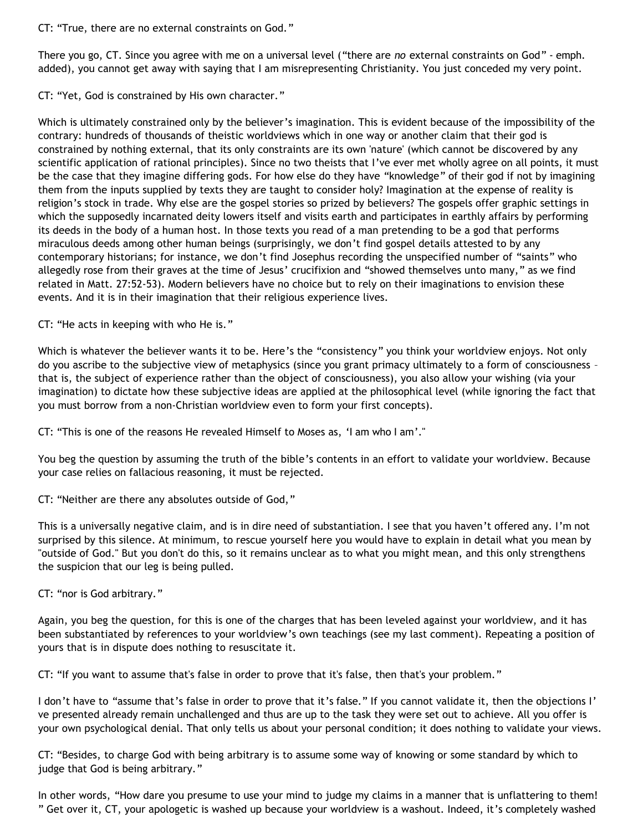CT: "True, there are no external constraints on God."

There you go, CT. Since you agree with me on a universal level ("there are *no* external constraints on God" - emph. added), you cannot get away with saying that I am misrepresenting Christianity. You just conceded my very point.

CT: "Yet, God is constrained by His own character."

Which is ultimately constrained only by the believer's imagination. This is evident because of the impossibility of the contrary: hundreds of thousands of theistic worldviews which in one way or another claim that their god is constrained by nothing external, that its only constraints are its own 'nature' (which cannot be discovered by any scientific application of rational principles). Since no two theists that I've ever met wholly agree on all points, it must be the case that they imagine differing gods. For how else do they have "knowledge" of their god if not by imagining them from the inputs supplied by texts they are taught to consider holy? Imagination at the expense of reality is religion's stock in trade. Why else are the gospel stories so prized by believers? The gospels offer graphic settings in which the supposedly incarnated deity lowers itself and visits earth and participates in earthly affairs by performing its deeds in the body of a human host. In those texts you read of a man pretending to be a god that performs miraculous deeds among other human beings (surprisingly, we don't find gospel details attested to by any contemporary historians; for instance, we don't find Josephus recording the unspecified number of "saints" who allegedly rose from their graves at the time of Jesus' crucifixion and "showed themselves unto many," as we find related in Matt. 27:52-53). Modern believers have no choice but to rely on their imaginations to envision these events. And it is in their imagination that their religious experience lives.

CT: "He acts in keeping with who He is."

Which is whatever the believer wants it to be. Here's the "consistency" you think your worldview enjoys. Not only do you ascribe to the subjective view of metaphysics (since you grant primacy ultimately to a form of consciousness – that is, the subject of experience rather than the object of consciousness), you also allow your wishing (via your imagination) to dictate how these subjective ideas are applied at the philosophical level (while ignoring the fact that you must borrow from a non-Christian worldview even to form your first concepts).

CT: "This is one of the reasons He revealed Himself to Moses as, 'I am who I am'."

You beg the question by assuming the truth of the bible's contents in an effort to validate your worldview. Because your case relies on fallacious reasoning, it must be rejected.

CT: "Neither are there any absolutes outside of God,"

This is a universally negative claim, and is in dire need of substantiation. I see that you haven't offered any. I'm not surprised by this silence. At minimum, to rescue yourself here you would have to explain in detail what you mean by "outside of God." But you don't do this, so it remains unclear as to what you might mean, and this only strengthens the suspicion that our leg is being pulled.

CT: "nor is God arbitrary."

Again, you beg the question, for this is one of the charges that has been leveled against your worldview, and it has been substantiated by references to your worldview's own teachings (see my last comment). Repeating a position of yours that is in dispute does nothing to resuscitate it.

CT: "If you want to assume that's false in order to prove that it's false, then that's your problem."

I don't have to "assume that's false in order to prove that it's false." If you cannot validate it, then the objections I' ve presented already remain unchallenged and thus are up to the task they were set out to achieve. All you offer is your own psychological denial. That only tells us about your personal condition; it does nothing to validate your views.

CT: "Besides, to charge God with being arbitrary is to assume some way of knowing or some standard by which to judge that God is being arbitrary."

In other words, "How dare you presume to use your mind to judge my claims in a manner that is unflattering to them! " Get over it, CT, your apologetic is washed up because your worldview is a washout. Indeed, it's completely washed